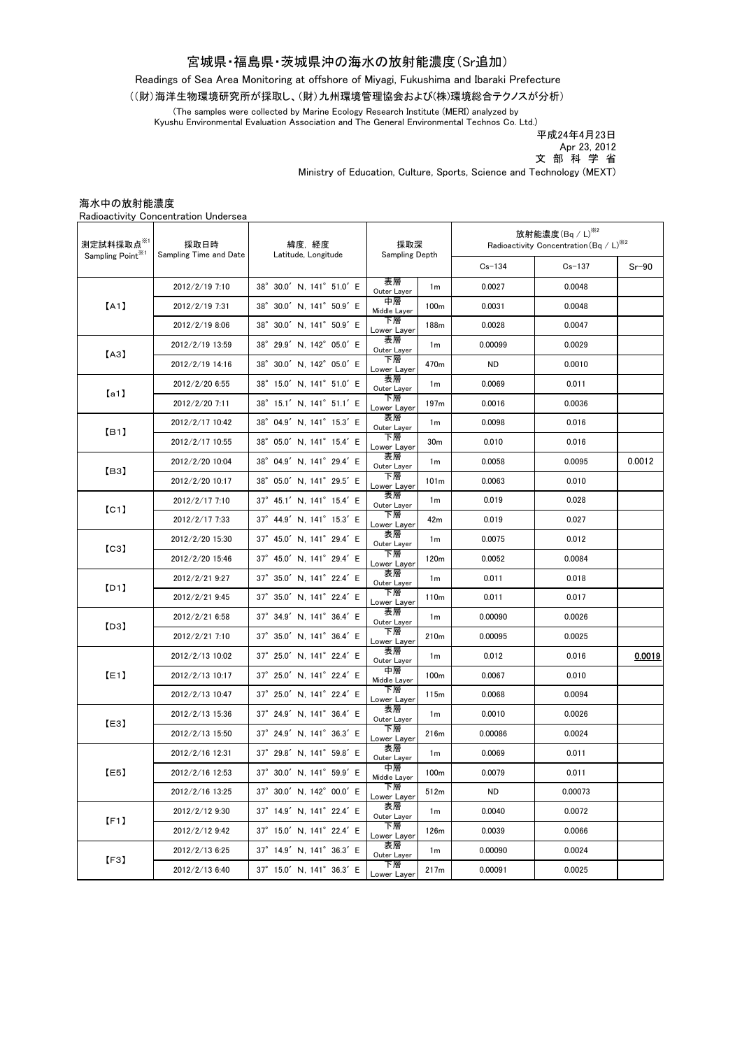## 宮城県・福島県・茨城県沖の海水の放射能濃度(Sr追加)

Readings of Sea Area Monitoring at offshore of Miyagi, Fukushima and Ibaraki Prefecture

((財)海洋生物環境研究所が採取し、(財)九州環境管理協会および(株)環境総合テクノスが分析)

(The samples were collected by Marine Ecology Research Institute (MERI) analyzed by Kyushu Environmental Evaluation Association and The General Environmental Technos Co. Ltd.)

.<br>平成24年4月23日 文 部 科 学 省 Apr 23, 2012

Ministry of Education, Culture, Sports, Science and Technology (MEXT)

|                                                        | Radioactivity Concentration Undersea |                              |                       |                  |                                                                                             |          |         |
|--------------------------------------------------------|--------------------------------------|------------------------------|-----------------------|------------------|---------------------------------------------------------------------------------------------|----------|---------|
| 測定試料採取点 <sup>※1</sup><br>Sampling Point <sup>361</sup> | 採取日時<br>Sampling Time and Date       | 緯度,経度<br>Latitude, Longitude | 採取深<br>Sampling Depth |                  | 放射能濃度 $($ Bq $/$ L $)$ <sup>※2</sup><br>Radioactivity Concentration (Bq / L) <sup>362</sup> |          |         |
|                                                        |                                      |                              |                       |                  | $Cs - 134$                                                                                  | $Cs-137$ | $Sr-90$ |
| [A1]                                                   | 2012/2/19 7:10                       | 38° 30.0' N, 141° 51.0' E    | 表層<br>Outer Layer     | 1 <sub>m</sub>   | 0.0027                                                                                      | 0.0048   |         |
|                                                        | 2012/2/19 7:31                       | 38° 30.0' N, 141° 50.9' E    | 中層<br>Middle Layer    | 100 <sub>m</sub> | 0.0031                                                                                      | 0.0048   |         |
|                                                        | 2012/2/19 8:06                       | 38° 30.0' N, 141° 50.9' E    | 下層<br>Lower Layer     | 188m             | 0.0028                                                                                      | 0.0047   |         |
| (A3)                                                   | 2012/2/19 13:59                      | 38° 29.9' N, 142° 05.0' E    | 表層<br>Outer Layer     | 1 <sub>m</sub>   | 0.00099                                                                                     | 0.0029   |         |
|                                                        | 2012/2/19 14:16                      | 38° 30.0' N, 142° 05.0' E    | 下層<br>Lower Layer     | 470m             | <b>ND</b>                                                                                   | 0.0010   |         |
| [a1]                                                   | 2012/2/20 6:55                       | 38° 15.0' N, 141° 51.0' E    | 表層<br>Outer Layer     | 1 <sub>m</sub>   | 0.0069                                                                                      | 0.011    |         |
|                                                        | 2012/2/20 7:11                       | 38° 15.1' N, 141° 51.1' E    | 下層<br>Lower Layer     | 197m             | 0.0016                                                                                      | 0.0036   |         |
| [B1]                                                   | 2012/2/17 10:42                      | 38° 04.9' N, 141° 15.3' E    | 表層<br>Outer Layer     | 1 <sub>m</sub>   | 0.0098                                                                                      | 0.016    |         |
|                                                        | 2012/2/17 10:55                      | 38° 05.0' N, 141° 15.4' E    | 下層<br>Lower Layer     | 30 <sub>m</sub>  | 0.010                                                                                       | 0.016    |         |
| 【B3】                                                   | 2012/2/20 10:04                      | 38° 04.9' N. 141° 29.4' E    | 表層<br>Outer Layer     | 1 <sub>m</sub>   | 0.0058                                                                                      | 0.0095   | 0.0012  |
|                                                        | 2012/2/20 10:17                      | 38° 05.0' N, 141° 29.5' E    | 下層<br>Lower Layer     | 101 <sub>m</sub> | 0.0063                                                                                      | 0.010    |         |
| [CI]                                                   | 2012/2/17 7:10                       | 37° 45.1' N, 141° 15.4' E    | 表層<br>Outer Layer     | 1 <sub>m</sub>   | 0.019                                                                                       | 0.028    |         |
|                                                        | 2012/2/17 7:33                       | 37° 44.9' N. 141° 15.3' E    | 下層<br>Lower Layer     | 42m              | 0.019                                                                                       | 0.027    |         |
| $\left[\mathrm{C}3\right]$                             | 2012/2/20 15:30                      | 37° 45.0' N, 141° 29.4' E    | 表層<br>Outer Layer     | 1 <sub>m</sub>   | 0.0075                                                                                      | 0.012    |         |
|                                                        | 2012/2/20 15:46                      | 37° 45.0' N, 141° 29.4' E    | 下層<br>Lower Layer     | 120m             | 0.0052                                                                                      | 0.0084   |         |
| [D1]                                                   | 2012/2/21 9:27                       | 37° 35.0' N, 141° 22.4' E    | 表層<br>Outer Layer     | 1 <sub>m</sub>   | 0.011                                                                                       | 0.018    |         |
|                                                        | 2012/2/21 9:45                       | 37° 35.0' N, 141° 22.4' E    | 下層<br>Lower Layer     | 110m             | 0.011                                                                                       | 0.017    |         |
| 【D3】                                                   | 2012/2/21 6:58                       | 37° 34.9' N, 141° 36.4' E    | 表層<br>Outer Layer     | 1 <sub>m</sub>   | 0.00090                                                                                     | 0.0026   |         |
|                                                        | 2012/2/21 7:10                       | 37° 35.0' N, 141° 36.4' E    | 下層<br>Lower Layer     | 210m             | 0.00095                                                                                     | 0.0025   |         |
| [E1]                                                   | 2012/2/13 10:02                      | 37° 25.0' N, 141° 22.4' E    | 表層<br>Outer Layer     | 1 <sub>m</sub>   | 0.012                                                                                       | 0.016    | 0.0019  |
|                                                        | 2012/2/13 10:17                      | 37° 25.0' N, 141° 22.4' E    | 中層<br>Middle Layer    | 100 <sub>m</sub> | 0.0067                                                                                      | 0.010    |         |
|                                                        | 2012/2/13 10:47                      | 37° 25.0' N, 141° 22.4' E    | 下層<br>Lower Layer     | 115m             | 0.0068                                                                                      | 0.0094   |         |
| 【E3】                                                   | 2012/2/13 15:36                      | 37° 24.9' N. 141° 36.4' E    | 表層<br>Outer Layer     | 1 <sub>m</sub>   | 0.0010                                                                                      | 0.0026   |         |
|                                                        | 2012/2/13 15:50                      | 37° 24.9' N, 141° 36.3' E    | 下層<br>Lower Layer     | 216m             | 0.00086                                                                                     | 0.0024   |         |
| [E5]                                                   | 2012/2/16 12:31                      | 37° 29.8' N. 141° 59.8' E    | 表層<br>Outer Layer     | 1 <sub>m</sub>   | 0.0069                                                                                      | 0.011    |         |
|                                                        | 2012/2/16 12:53                      | 37° 30.0′ N, 141° 59.9′ E    | 中層<br>Middle Layer    | 100 <sub>m</sub> | 0.0079                                                                                      | 0.011    |         |
|                                                        | 2012/2/16 13:25                      | 37° 30.0' N, 142° 00.0' E    | 下層<br>Lower Layer     | 512m             | <b>ND</b>                                                                                   | 0.00073  |         |
| [F1]                                                   | 2012/2/12 9:30                       | 37° 14.9' N, 141° 22.4' E    | 表層<br>Outer Layer     | 1m               | 0.0040                                                                                      | 0.0072   |         |
|                                                        | 2012/2/12 9:42                       | 37° 15.0' N, 141° 22.4' E    | 下層<br>Lower Layer     | 126m             | 0.0039                                                                                      | 0.0066   |         |
| [F3]                                                   | 2012/2/13 6:25                       | 37° 14.9' N. 141° 36.3' E    | 表層<br>Outer Layer     | 1 <sub>m</sub>   | 0.00090                                                                                     | 0.0024   |         |
|                                                        | 2012/2/13 6:40                       | 37° 15.0' N, 141° 36.3' E    | 下層<br>Lower Layer     | 217m             | 0.00091                                                                                     | 0.0025   |         |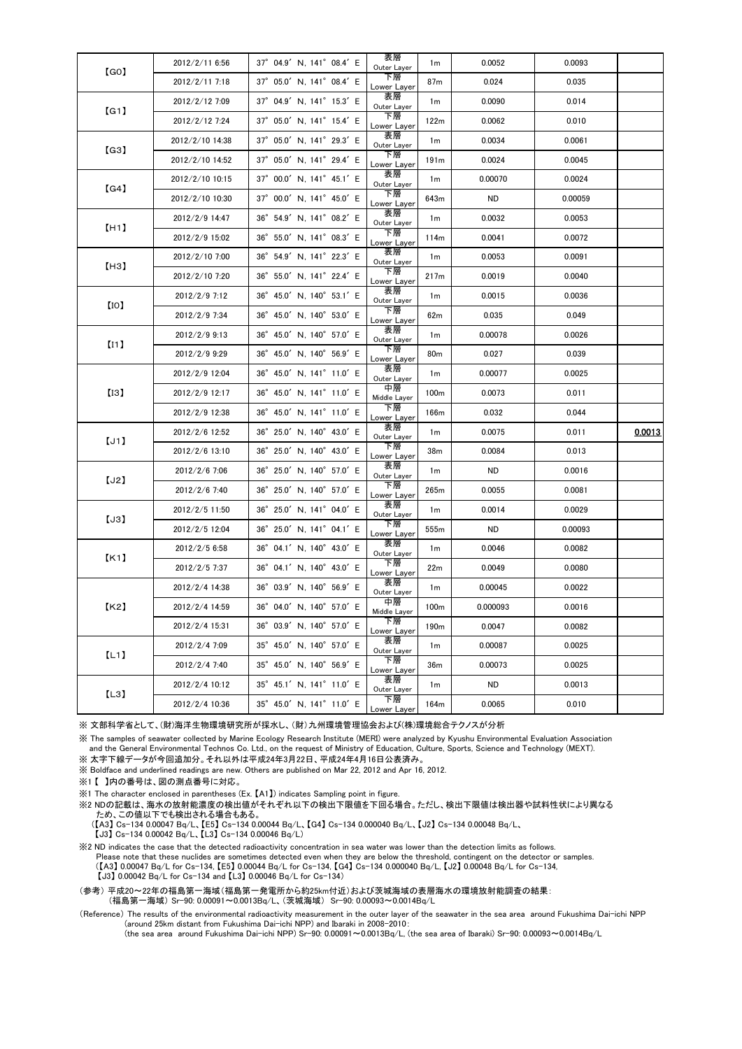| 【GO】 | 2012/2/11 6:56  | 37° 04.9' N, 141° 08.4' E                    | 表層<br>Outer Layer  | 1 <sub>m</sub>   | 0.0052    | 0.0093  |        |
|------|-----------------|----------------------------------------------|--------------------|------------------|-----------|---------|--------|
|      | 2012/2/11 7:18  | 37° 05.0' N, 141° 08.4' E                    | 下層<br>Lower Layer  | 87m              | 0.024     | 0.035   |        |
| [G1] | 2012/2/12 7:09  | 37° 04.9' N, 141° 15.3' E                    | 表層<br>Outer Layer  | 1m               | 0.0090    | 0.014   |        |
|      | 2012/2/12 7:24  | 37° 05.0' N, 141° 15.4' E                    | 下層<br>Lower Layer  | 122m             | 0.0062    | 0.010   |        |
| (G3) | 2012/2/10 14:38 | 37° 05.0' N, 141° 29.3' E                    | 表層<br>Outer Layer  | 1m               | 0.0034    | 0.0061  |        |
|      | 2012/2/10 14:52 | 37° 05.0' N, 141° 29.4' E                    | 下層<br>Lower Layer  | 191 <sub>m</sub> | 0.0024    | 0.0045  |        |
| (G4) | 2012/2/10 10:15 | 37° 00.0' N, 141° 45.1' E                    | 表層<br>Outer Layer  | 1 <sub>m</sub>   | 0.00070   | 0.0024  |        |
|      | 2012/2/10 10:30 | 37° 00.0' N. 141° 45.0' E                    | 下層<br>Lower Layer  | 643m             | ND        | 0.00059 |        |
|      | 2012/2/9 14:47  | 36° 54.9' N, 141° 08.2' E                    | 表層<br>Outer Layer  | 1 <sub>m</sub>   | 0.0032    | 0.0053  |        |
| [H1] | 2012/2/9 15:02  | 36° 55.0' N, 141° 08.3' E                    | 下層<br>Lower Layer  | 114m             | 0.0041    | 0.0072  |        |
| [H3] | 2012/2/10 7:00  | 36° 54.9' N, 141° 22.3' E                    | 表層<br>Outer Layer  | 1 <sub>m</sub>   | 0.0053    | 0.0091  |        |
|      | 2012/2/10 7:20  | 36° 55.0' N, 141° 22.4' E                    | 下層<br>Lower Layer  | 217m             | 0.0019    | 0.0040  |        |
|      | 2012/2/9 7:12   | $36^{\circ}$ 45.0' N, 140 $^{\circ}$ 53.1' E | 表層<br>Outer Layer  | 1 <sub>m</sub>   | 0.0015    | 0.0036  |        |
| [10] | 2012/2/9 7:34   | 36° 45.0' N, 140° 53.0' E                    | 下層<br>Lower Layer  | 62m              | 0.035     | 0.049   |        |
| [11] | 2012/2/9 9:13   | 36° 45.0' N, 140° 57.0' E                    | 表層<br>Outer Layer  | 1 <sub>m</sub>   | 0.00078   | 0.0026  |        |
|      | 2012/2/9 9:29   | 36° 45.0' N, 140° 56.9' E                    | 下層<br>Lower Layer  | 80 <sub>m</sub>  | 0.027     | 0.039   |        |
|      | 2012/2/9 12:04  | 36° 45.0' N, 141° 11.0' E                    | 表層<br>Outer Layer  | 1 <sub>m</sub>   | 0.00077   | 0.0025  |        |
| [13] | 2012/2/9 12:17  | 36° 45.0' N, 141° 11.0' E                    | 中層<br>Middle Layer | 100 <sub>m</sub> | 0.0073    | 0.011   |        |
|      | 2012/2/9 12:38  | 36° 45.0' N, 141° 11.0' E                    | 下層<br>Lower Layer  | 166m             | 0.032     | 0.044   |        |
| [J1] | 2012/2/6 12:52  | 36° 25.0' N, 140° 43.0' E                    | 表層<br>Outer Layer  | 1 <sub>m</sub>   | 0.0075    | 0.011   | 0.0013 |
|      | 2012/2/6 13:10  | 36° 25.0' N, 140° 43.0' E                    | 下層<br>Lower Layer  | 38m              | 0.0084    | 0.013   |        |
|      | 2012/2/6 7:06   | 36° 25.0' N, 140° 57.0' E                    | 表層<br>Outer Layer  | 1 <sub>m</sub>   | <b>ND</b> | 0.0016  |        |
| [J2] | 2012/2/6 7:40   | 36° 25.0' N, 140° 57.0' E                    | 下層<br>Lower Layer  | 265m             | 0.0055    | 0.0081  |        |
| [J3] | 2012/2/5 11:50  | 36° 25.0' N, 141° 04.0' E                    | 表層<br>Outer Layer  | 1 <sub>m</sub>   | 0.0014    | 0.0029  |        |
|      | 2012/2/5 12:04  | 36° 25.0' N, 141° 04.1' E                    | 下層<br>Lower Layer  | 555m             | <b>ND</b> | 0.00093 |        |
| K1   | 2012/2/5 6:58   | 36° 04.1' N, 140° 43.0' E                    | 表層<br>Outer Layer  | 1 <sub>m</sub>   | 0.0046    | 0.0082  |        |
|      | 2012/2/5 7:37   | 36° 04.1' N, 140° 43.0' E                    | 下層<br>Lower Layer  | 22m              | 0.0049    | 0.0080  |        |
| 【K2】 | 2012/2/4 14:38  | 36° 03.9' N, 140° 56.9' E                    | 表層<br>Outer Layer  | 1 <sub>m</sub>   | 0.00045   | 0.0022  |        |
|      | 2012/2/4 14:59  | 36° 04.0' N. 140° 57.0' E                    | 中層<br>Middle Layer | 100m             | 0.000093  | 0.0016  |        |
|      | 2012/2/4 15:31  | 36° 03.9' N, 140° 57.0' E                    | 下層<br>Lower Layer  | 190 <sub>m</sub> | 0.0047    | 0.0082  |        |
| [L1] | 2012/2/4 7:09   | 35° 45.0' N, 140° 57.0' E                    | 表層<br>Outer Layer  | 1 <sub>m</sub>   | 0.00087   | 0.0025  |        |
|      | 2012/2/4 7:40   | 35° 45.0' N, 140° 56.9' E                    | 下層<br>Lower Layer  | 36m              | 0.00073   | 0.0025  |        |
| [L3] | 2012/2/4 10:12  | 35° 45.1' N, 141° 11.0' E                    | 表層<br>Outer Layer  | 1 <sub>m</sub>   | <b>ND</b> | 0.0013  |        |
|      | 2012/2/4 10:36  | 35° 45.0' N, 141° 11.0' E                    | 下層<br>Lower Layer  | 164m             | 0.0065    | 0.010   |        |

※ 文部科学省として、(財)海洋生物環境研究所が採水し、(財)九州環境管理協会および(株)環境総合テクノスが分析

※ The samples of seawater collected by Marine Ecology Research Institute (MERI) were analyzed by Kyushu Environmental Evaluation Association and the General Environmental Technos Co. Ltd., on the request of Ministry of Education, Culture, Sports, Science and Technology (MEXT). ※ 太字下線データが今回追加分。それ以外は平成24年3月22日、平成24年4月16日公表済み。

※ Boldface and underlined readings are new. Others are published on Mar 22, 2012 and Apr 16, 2012.

※1 【 】内の番号は、図の測点番号に対応。

※1 The character enclosed in parentheses (Ex. 【A1】) indicates Sampling point in figure.

※2 NDの記載は、海水の放射能濃度の検出値がそれぞれ以下の検出下限値を下回る場合。ただし、検出下限値は検出器や試料性状により異なる ため、この値以下でも検出される場合もある。

 (【A3】 Cs-134 0.00047 Bq/L、【E5】 Cs-134 0.00044 Bq/L、【G4】 Cs-134 0.000040 Bq/L、【J2】 Cs-134 0.00048 Bq/L、 【J3】 Cs-134 0.00042 Bq/L、【L3】 Cs-134 0.00046 Bq/L)

※2 ND indicates the case that the detected radioactivity concentration in sea water was lower than the detection limits as follows. Please note that these nuclides are sometimes detected even when they are below the threshold, contingent on the detector or samples. (【A3】 0.00047 Bq/L for Cs-134, 【E5】 0.00044 Bq/L for Cs-134, 【G4】 Cs-134 0.000040 Bq/L, 【J2】 0.00048 Bq/L for Cs-134, 【J3】 0.00042 Bq/L for Cs-134 and 【L3】 0.00046 Bq/L for Cs-134)

(参考) 平成20~22年の福島第一海域(福島第一発電所から約25km付近)および茨城海域の表層海水の環境放射能調査の結果: (福島第一海域) Sr-90: 0.00091~0.0013Bq/L、(茨城海域) Sr-90: 0.00093~0.0014Bq/L

Reference) The results of the environmental radioactivity measurement in the outer layer of the seawater in the sea area around Fukushima Dai-ichi NPP)<br>(around 25km distant from Fukushima Dai-ichi NPP) and Ibaraki in 2008–

(the sea area around Fukushima Dai-ichi NPP) Sr-90: 0.00091~0.0013Bq/L, (the sea area of Ibaraki) Sr-90: 0.00093~0.0014Bq/L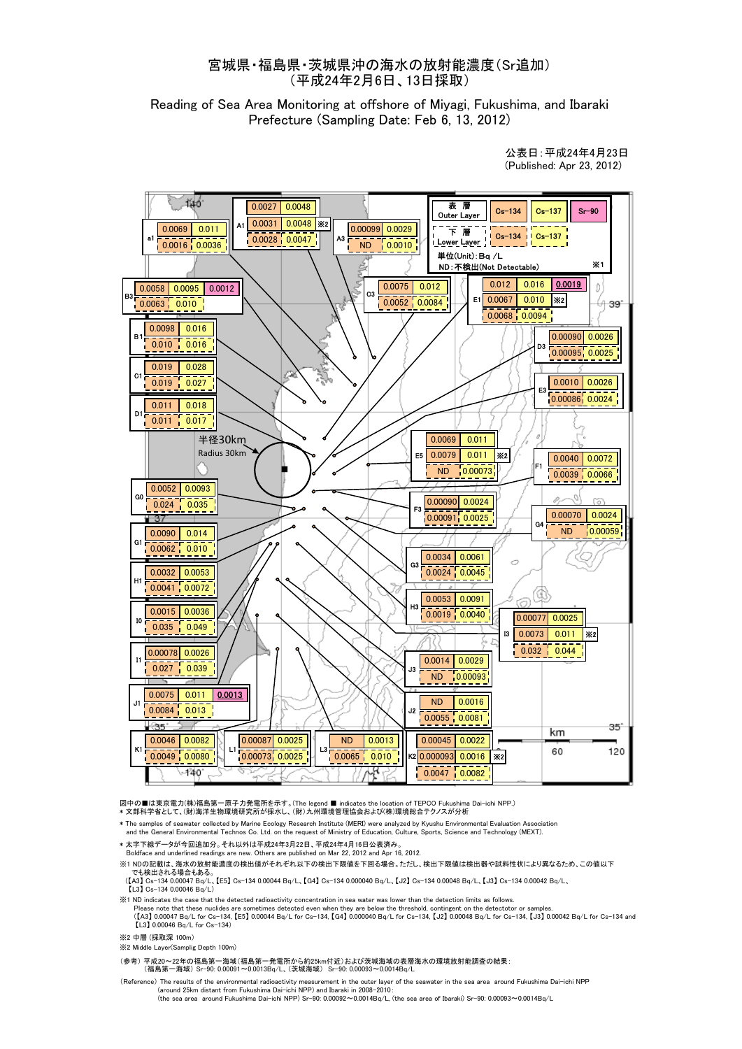## 宮城県・福島県・茨城県沖の海水の放射能濃度(Sr追加) (平成24年2月6日、13日採取)

Reading of Sea Area Monitoring at offshore of Miyagi, Fukushima, and Ibaraki Prefecture (Sampling Date: Feb 6, 13, 2012)

> 公表日:平成24年4月23日 (Published: Apr 23, 2012)



図中の■は東京電力(株)福島第一原子力発電所を示す。(The legend ■ indicates the location of TEPCO Fukushima Dai-ichi NPP.)<br>\* 文部科学省として、(財)海洋生物環境研究所が採水し、(財) 九州環境管理協会および(株)環境総合テクノスが分析

\* The samples of seawater collected by Marine Ecology Research Institute (MERI) were analyzed by Kyushu Environmental Evaluation Association and the General Environmental Technos Co. Ltd. on the request of Ministry of Education, Culture, Sports, Science and Technology (MEXT).

\* 太字下線データが今回追加分。それ以外は平成24年3月22日、平成24年4月16日公表済み。

Boldface and underlined readings are new. Others are published on Mar 22, 2012 and Apr 16, 2012.

※1 NDの記載は、海水の放射能濃度の検出値がそれぞれ以下の検出下限値を下回る場合。ただし、検出下限値は検出器や試料性状により異なるため、この値以下 でも検出される場合もある

 (【A3】 Cs-134 0.00047 Bq/L、【E5】 Cs-134 0.00044 Bq/L、【G4】 Cs-134 0.000040 Bq/L、【J2】 Cs-134 0.00048 Bq/L、【J3】 Cs-134 0.00042 Bq/L、 【L3】 Cs-134 0.00046 Bq/L)

※1 ND indicates the case that the detected radioactivity concentration in sea water was lower than the detection limits as follows.

Please note that these nuclides are sometimes detected even when they are below the threshold, contingent on the detectotor or samples.<br>([A3] 0.00047 Bq/L for Cs-134, [E5] 0.00044 Bq/L for Cs-134, [G4] 0.000040 Bq/L for Cs  $[1,3]$  0.00046 Bq/L for Cs-134)

※2 中層 (採取深 100m)

※2 Middle Layer(Samplig Depth 100m)

(参考) 平成20~22年の福島第一海域(福島第一発電所から約25km付近)および茨城海域の表層海水の環境放射能調査の結果:

(福島第一海域) Sr-90: 0.00091~0.0013Bq/L、(茨城海域) Sr-90: 0.00093~0.0014Bq/L

Reference) The results of the environmental radioactivity measurement in the outer layer of the seawater in the sea area around Fukushima Dai-ichi NPF)<br>(around 25km distant from Fukushima Dai-ichi NPP) and Ibaraki in 2008– (the sea area around Fukushima Dai-ichi NPP) Sr-90: 0.00092~0.0014Bq/L, (the sea area of Ibaraki) Sr-90: 0.00093~0.0014Bq/L